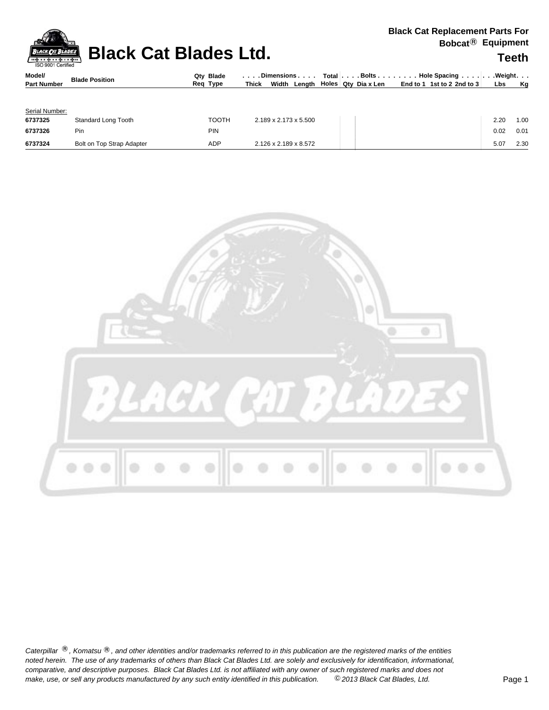**Black Cat Blades Ltd. Black Cat Blades Ltd.** Teeth

| Model/             | <b>Blade Position</b> | Qty Blade   | . Dimensions $\ldots$ . | $\Box$ Total $\Box$ Bolts $\Box$ Hole Spacing $\Box$ Weight                |           |
|--------------------|-----------------------|-------------|-------------------------|----------------------------------------------------------------------------|-----------|
| <b>Part Number</b> |                       | Type<br>Rea | Thick                   | Width Length $\vert$ Holes Qty Diax Len $\vert$ End to 1 1st to 2 2nd to 3 | Lbs<br>Ka |

| Serial Number: |                           |       |                                   |  |  |      |      |
|----------------|---------------------------|-------|-----------------------------------|--|--|------|------|
| 6737325        | Standard Long Tooth       | TOOTH | $2.189 \times 2.173 \times 5.500$ |  |  | 2.20 | 1.00 |
| 6737326        | Pin                       | PIN   |                                   |  |  | 0.02 | 0.01 |
| 6737324        | Bolt on Top Strap Adapter | ADP   | 2.126 x 2.189 x 8.572             |  |  | 5.07 | 2.30 |



Caterpillar ®, Komatsu ®, and other identities and/or trademarks referred to in this publication are the registered marks of the entities *noted herein. The use of any trademarks of others than Black Cat Blades Ltd. are solely and exclusively for identification, informational, make, use, or sell any products manufactured by any such entity identified in this publication. comparative, and descriptive purposes. Black Cat Blades Ltd. is not affiliated with any owner of such registered marks and does not* ©*2013 Black Cat Blades, Ltd.* Page 1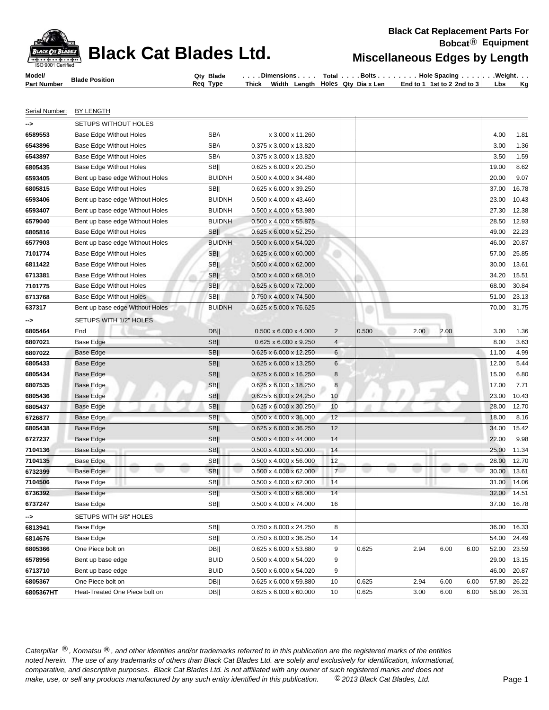## **Black Cata Blades Cat Blades Edges by Length**

| Model/          | <b>Blade Position</b> | <b>Blade</b><br>Qtv | Dimensions               | Total                           | Bolts.   | <b>Hole Spacing</b> | . Weiaht. |
|-----------------|-----------------------|---------------------|--------------------------|---------------------------------|----------|---------------------|-----------|
| * Number<br>Dar |                       | Reg<br>Tvpe         | Width<br>Thick<br>Lenath | Holes <b>i</b><br>Qtv Dia x Len | End to 1 | 1st to 2 2nd to 3   | Kq<br>Lbs |

Serial Number: BY LENGTH

| -->       | SETUPS WITHOUT HOLES            |                  |                                    |                |        |      |              |       |       |
|-----------|---------------------------------|------------------|------------------------------------|----------------|--------|------|--------------|-------|-------|
| 6589553   | <b>Base Edge Without Holes</b>  | SB/\             | x 3.000 x 11.260                   |                |        |      |              | 4.00  | 1.81  |
| 6543896   | <b>Base Edge Without Holes</b>  | SB/\             | 0.375 x 3.000 x 13.820             |                |        |      |              | 3.00  | 1.36  |
| 6543897   | Base Edge Without Holes         | SB/\             | 0.375 x 3.000 x 13.820             |                |        |      |              | 3.50  | 1.59  |
| 6805435   | Base Edge Without Holes         | <b>SB</b>        | 0.625 x 6.000 x 20.250             |                |        |      |              | 19.00 | 8.62  |
| 6593405   | Bent up base edge Without Holes | <b>BUIDNH</b>    | 0.500 x 4.000 x 34.480             |                |        |      |              | 20.00 | 9.07  |
| 6805815   | <b>Base Edge Without Holes</b>  | <b>SB</b>        | 0.625 x 6.000 x 39.250             |                |        |      |              | 37.00 | 16.78 |
| 6593406   | Bent up base edge Without Holes | <b>BUIDNH</b>    | 0.500 x 4.000 x 43.460             |                |        |      |              | 23.00 | 10.43 |
| 6593407   | Bent up base edge Without Holes | <b>BUIDNH</b>    | 0.500 x 4.000 x 53.980             |                |        |      |              | 27.30 | 12.38 |
| 6579040   | Bent up base edge Without Holes | <b>BUIDNH</b>    | $0.500 \times 4.000 \times 55.875$ |                |        |      |              | 28.50 | 12.93 |
| 6805816   | <b>Base Edge Without Holes</b>  | <b>SB</b>        | $0.625 \times 6.000 \times 52.250$ |                |        |      |              | 49.00 | 22.23 |
| 6577903   | Bent up base edge Without Holes | <b>BUIDNH</b>    | $0.500 \times 6.000 \times 54.020$ |                |        |      |              | 46.00 | 20.87 |
| 7101774   | <b>Base Edge Without Holes</b>  | <b>SB</b>        | $0.625 \times 6.000 \times 60.000$ |                |        |      |              | 57.00 | 25.85 |
| 6811422   | Base Edge Without Holes         | <b>SB</b>        | $0.500 \times 4.000 \times 62.000$ |                |        |      |              | 30.00 | 13.61 |
| 6713381   | Base Edge Without Holes         | <b>SB</b>        | $0.500 \times 4.000 \times 68.010$ |                |        |      |              | 34.20 | 15.51 |
| 7101775   | <b>Base Edge Without Holes</b>  | <b>SB</b>        | $0.625 \times 6.000 \times 72.000$ |                |        |      |              | 68.00 | 30.84 |
| 6713768   | Base Edge Without Holes         | <b>SB</b>        | 0.750 x 4.000 x 74.500             |                |        |      |              | 51.00 | 23.13 |
| 637317    | Bent up base edge Without Holes | <b>BUIDNH</b>    | 0.625 x 5.000 x 76.625             |                |        |      |              | 70.00 | 31.75 |
| ⊸>        | SETUPS WITH 1/2" HOLES          |                  |                                    |                |        |      |              |       |       |
| 6805464   | End                             | <b>DB  </b>      | $0.500 \times 6.000 \times 4.000$  | $\overline{c}$ | 0.500  | 2.00 | 2.00         | 3.00  | 1.36  |
| 6807021   | <b>Base Edge</b>                | <b>SB</b>        | 0.625 x 6.000 x 9.250              | $\overline{4}$ |        |      |              | 8.00  | 3.63  |
| 6807022   | Base Edge                       | <b>SB</b>        | 0.625 x 6.000 x 12.250             | 6              |        |      |              | 11.00 | 4.99  |
| 6805433   | <b>Base Edge</b>                | <b>SB</b>        | 0.625 x 6.000 x 13.250             | 6              |        |      |              | 12.00 | 5.44  |
| 6805434   | <b>Base Edge</b>                | <b>SB</b>        | 0.625 x 6.000 x 16.250             | $\bf 8$        |        |      |              | 15.00 | 6.80  |
| 6807535   | Base Edge                       | <b>SB</b>        | $0.625 \times 6.000 \times 18.250$ | 8              |        |      |              | 17.00 | 7.71  |
| 6805436   | <b>Base Edge</b>                | <b>SB</b>        | 0.625 x 6.000 x 24.250             | 10             |        |      |              | 23.00 | 10.43 |
| 6805437   | <b>Base Edge</b>                | <b>SBII</b>      | 0.625 x 6.000 x 30.250             | 10             |        |      |              | 28.00 | 12.70 |
| 6726877   | <b>Base Edge</b>                | <b>SB</b>        | $0.500 \times 4.000 \times 36.000$ | 12             |        |      |              | 18.00 | 8.16  |
| 6805438   | Base Edge                       | <b>SB</b>        | $0.625 \times 6.000 \times 36.250$ | 12             |        |      |              | 34.00 | 15.42 |
| 6727237   | Base Edge                       | SB               | $0.500 \times 4.000 \times 44.000$ | 14             |        |      |              | 22.00 | 9.98  |
| 7104136   | Base Edge                       | <b>SB</b>        | $0.500 \times 4.000 \times 50.000$ | 14             |        |      |              | 25.00 | 11.34 |
| 7104135   | Base Edge                       | <b>SB</b>        | $0.500 \times 4.000 \times 56.000$ | 12             |        |      |              | 28.00 | 12.70 |
| 6732399   | e.<br>Base Edge                 | SB <sub>II</sub> | $0.500 \times 4.000 \times 62.000$ | 7              | w<br>u |      |              | 30.00 | 13.61 |
| 7104506   | Base Edge                       | <b>SB</b>        | 0.500 x 4.000 x 62.000             | 14             |        |      |              | 31.00 | 14.06 |
| 6736392   | Base Edge                       | SB               | $0.500 \times 4.000 \times 68.000$ | 14             |        |      |              | 32.00 | 14.51 |
| 6737247   | Base Edge                       | <b>SB</b>        | 0.500 x 4.000 x 74.000             | 16             |        |      |              | 37.00 | 16.78 |
| ⊸>        | SETUPS WITH 5/8" HOLES          |                  |                                    |                |        |      |              |       |       |
| 6813941   | Base Edge                       | SB               | 0.750 x 8.000 x 24.250             | 8              |        |      |              | 36.00 | 16.33 |
| 6814676   | Base Edge                       | SB               | 0.750 x 8.000 x 36.250             | 14             |        |      |              | 54.00 | 24.49 |
| 6805366   | One Piece bolt on               | DB               | 0.625 x 6.000 x 53.880             | 9              | 0.625  | 2.94 | 6.00<br>6.00 | 52.00 | 23.59 |
| 6578956   | Bent up base edge               | <b>BUID</b>      | 0.500 x 4.000 x 54.020             | 9              |        |      |              | 29.00 | 13.15 |
| 6713710   | Bent up base edge               | <b>BUID</b>      | $0.500 \times 6.000 \times 54.020$ | 9              |        |      |              | 46.00 | 20.87 |
| 6805367   | One Piece bolt on               | DB               | 0.625 x 6.000 x 59.880             | 10             | 0.625  | 2.94 | 6.00<br>6.00 | 57.80 | 26.22 |
| 6805367HT | Heat-Treated One Piece bolt on  | DB               | $0.625 \times 6.000 \times 60.000$ | 10             | 0.625  | 3.00 | 6.00<br>6.00 | 58.00 | 26.31 |
|           |                                 |                  |                                    |                |        |      |              |       |       |

Caterpillar ®, Komatsu ®, and other identities and/or trademarks referred to in this publication are the registered marks of the entities *noted herein. The use of any trademarks of others than Black Cat Blades Ltd. are solely and exclusively for identification, informational, make, use, or sell any products manufactured by any such entity identified in this publication. comparative, and descriptive purposes. Black Cat Blades Ltd. is not affiliated with any owner of such registered marks and does not* ©*2013 Black Cat Blades, Ltd.* Page 1